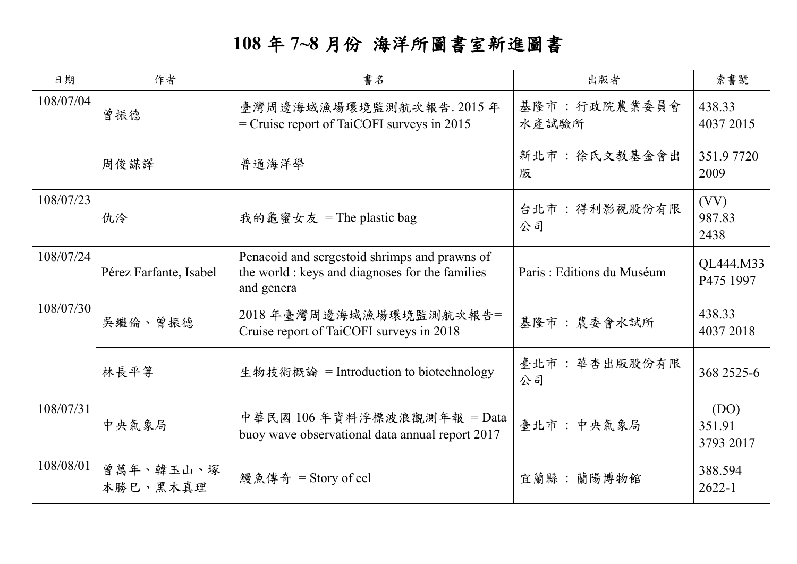## **108** 年 **7~8** 月份 海洋所圖書室新進圖書

| 日期        | 作者                     | 書名                                                                                                             | 出版者                       | 索書號                         |
|-----------|------------------------|----------------------------------------------------------------------------------------------------------------|---------------------------|-----------------------------|
| 108/07/04 | 曾振德                    | 臺灣周邊海域漁場環境監測航次報告. 2015年<br>$=$ Cruise report of TaiCOFI surveys in 2015                                        | 基隆市: 行政院農業委員會<br>水產試驗所    | 438.33<br>4037 2015         |
|           | 周俊謀譯                   | 普通海洋學                                                                                                          | 新北市:徐氏文教基金會出<br>版         | 351.97720<br>2009           |
| 108/07/23 | 仇泠                     | 我的龜蜜女友 = The plastic bag                                                                                       | 台北市: 得利影視股份有限<br>公司       | (VV)<br>987.83<br>2438      |
| 108/07/24 | Pérez Farfante, Isabel | Penaeoid and sergestoid shrimps and prawns of<br>the world : keys and diagnoses for the families<br>and genera | Paris: Editions du Muséum | QL444.M33<br>P475 1997      |
| 108/07/30 | 吳繼倫、曾振德                | 2018年臺灣周邊海域漁場環境監測航次報告=<br>Cruise report of TaiCOFI surveys in 2018                                             | 基隆市:農委會水試所                | 438.33<br>4037 2018         |
|           | 林長平等                   | 生物技術概論 = Introduction to biotechnology                                                                         | 臺北市:華杏出版股份有限<br>公司        | 368 2525-6                  |
| 108/07/31 | 中央氣象局                  | 中華民國 106年資料浮標波浪觀測年報 = Data<br>buoy wave observational data annual report 2017                                  | 臺北市: 中央氣象局                | (DO)<br>351.91<br>3793 2017 |
| 108/08/01 | 曾萬年、韓玉山、塚<br>本勝巳、黑木真理  | 鰻魚傳奇 = Story of eel                                                                                            | 宜蘭縣:蘭陽博物館                 | 388.594<br>$2622 - 1$       |